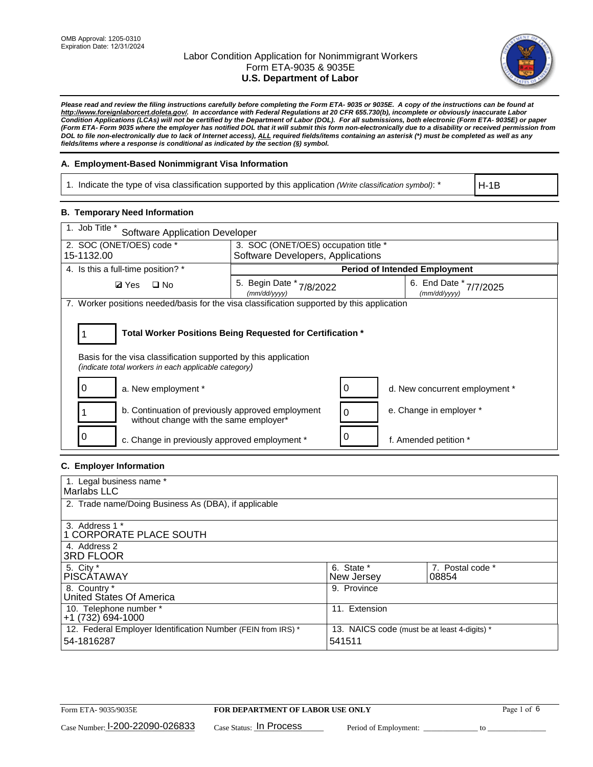

*Please read and review the filing instructions carefully before completing the Form ETA- 9035 or 9035E. A copy of the instructions can be found at http://www.foreignlaborcert.doleta.gov/. In accordance with Federal Regulations at 20 CFR 655.730(b), incomplete or obviously inaccurate Labor Condition Applications (LCAs) will not be certified by the Department of Labor (DOL). For all submissions, both electronic (Form ETA- 9035E) or paper (Form ETA- Form 9035 where the employer has notified DOL that it will submit this form non-electronically due to a disability or received permission from DOL to file non-electronically due to lack of Internet access), ALL required fields/items containing an asterisk (\*) must be completed as well as any fields/items where a response is conditional as indicated by the section (§) symbol.* 

### **A. Employment-Based Nonimmigrant Visa Information**

1. Indicate the type of visa classification supported by this application *(Write classification symbol)*: \*

H-1B

#### **B. Temporary Need Information**

| 1. Job Title *<br><b>Software Application Developer</b>                                                                 |                                                            |                                           |  |  |  |
|-------------------------------------------------------------------------------------------------------------------------|------------------------------------------------------------|-------------------------------------------|--|--|--|
| 2. SOC (ONET/OES) code *<br>3. SOC (ONET/OES) occupation title *                                                        |                                                            |                                           |  |  |  |
| 15-1132.00                                                                                                              | Software Developers, Applications                          |                                           |  |  |  |
| 4. Is this a full-time position? *                                                                                      |                                                            | <b>Period of Intended Employment</b>      |  |  |  |
| <b>Ø</b> Yes<br>$\Box$ No                                                                                               | 5. Begin Date *<br>7/8/2022<br>(mm/dd/yyyy)                | 6. End Date *<br>7/7/2025<br>(mm/dd/yyyy) |  |  |  |
| 7. Worker positions needed/basis for the visa classification supported by this application                              |                                                            |                                           |  |  |  |
| Basis for the visa classification supported by this application<br>(indicate total workers in each applicable category) | Total Worker Positions Being Requested for Certification * |                                           |  |  |  |
| a. New employment *                                                                                                     |                                                            | d. New concurrent employment *            |  |  |  |
| b. Continuation of previously approved employment<br>without change with the same employer*                             |                                                            | e. Change in employer *                   |  |  |  |
| c. Change in previously approved employment *                                                                           |                                                            | f. Amended petition *                     |  |  |  |

### **C. Employer Information**

| 1. Legal business name *                                     |                                              |                  |  |
|--------------------------------------------------------------|----------------------------------------------|------------------|--|
| Marlabs LLC                                                  |                                              |                  |  |
| 2. Trade name/Doing Business As (DBA), if applicable         |                                              |                  |  |
|                                                              |                                              |                  |  |
| 3. Address 1 *                                               |                                              |                  |  |
| 1 CORPORATE PLACE SOUTH                                      |                                              |                  |  |
| 4. Address 2                                                 |                                              |                  |  |
| <b>3RD FLOOR</b>                                             |                                              |                  |  |
| 5. City *                                                    | 6. State *                                   | 7. Postal code * |  |
| PISCÁTAWAY                                                   | New Jersey                                   | 08854            |  |
| 8. Country *                                                 | 9. Province                                  |                  |  |
| United States Of America                                     |                                              |                  |  |
| 10. Telephone number *                                       | 11. Extension                                |                  |  |
| $+1(732)694-1000$                                            |                                              |                  |  |
| 12. Federal Employer Identification Number (FEIN from IRS) * | 13. NAICS code (must be at least 4-digits) * |                  |  |
| 54-1816287                                                   | 541511                                       |                  |  |
|                                                              |                                              |                  |  |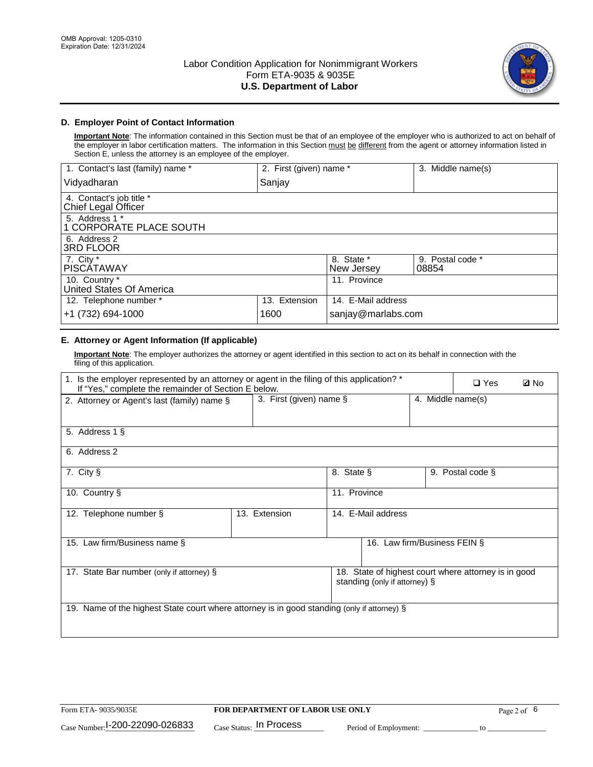

### **D. Employer Point of Contact Information**

**Important Note**: The information contained in this Section must be that of an employee of the employer who is authorized to act on behalf of the employer in labor certification matters. The information in this Section must be different from the agent or attorney information listed in Section E, unless the attorney is an employee of the employer.

| 1. Contact's last (family) name *               | 2. First (given) name * |                          | 3. Middle name(s)         |
|-------------------------------------------------|-------------------------|--------------------------|---------------------------|
| Vidyadharan                                     | Sanjay                  |                          |                           |
| 4. Contact's job title *<br>Chief Legal Officer |                         |                          |                           |
| 5. Address 1 *<br>1 CORPORATE PLACE SOUTH       |                         |                          |                           |
| 6. Address 2<br>3RD FLOOR                       |                         |                          |                           |
| 7. City $*$<br><b>PISCÁTAWAY</b>                |                         | 8. State *<br>New Jersey | 9. Postal code *<br>08854 |
| 10. Country *<br>United States Of America       |                         | 11. Province             |                           |
| 12. Telephone number *                          | 13. Extension           | 14. E-Mail address       |                           |
| +1 (732) 694-1000                               | 1600                    | sanjay@marlabs.com       |                           |

## **E. Attorney or Agent Information (If applicable)**

**Important Note**: The employer authorizes the attorney or agent identified in this section to act on its behalf in connection with the filing of this application.

| 1. Is the employer represented by an attorney or agent in the filing of this application? *<br>If "Yes," complete the remainder of Section E below. |                            |              |                               |                   | $\Box$ Yes                                           | <b>Ø</b> No |
|-----------------------------------------------------------------------------------------------------------------------------------------------------|----------------------------|--------------|-------------------------------|-------------------|------------------------------------------------------|-------------|
| 2. Attorney or Agent's last (family) name §                                                                                                         | 3. First (given) name $\S$ |              |                               | 4. Middle name(s) |                                                      |             |
| 5. Address 1 §                                                                                                                                      |                            |              |                               |                   |                                                      |             |
| 6. Address 2                                                                                                                                        |                            |              |                               |                   |                                                      |             |
| 7. City §                                                                                                                                           |                            | 8. State §   |                               |                   | 9. Postal code §                                     |             |
| 10. Country §                                                                                                                                       |                            | 11. Province |                               |                   |                                                      |             |
| 12. Telephone number §                                                                                                                              | 13. Extension              |              | 14. E-Mail address            |                   |                                                      |             |
| 15. Law firm/Business name §                                                                                                                        |                            |              | 16. Law firm/Business FEIN §  |                   |                                                      |             |
| 17. State Bar number (only if attorney) §                                                                                                           |                            |              | standing (only if attorney) § |                   | 18. State of highest court where attorney is in good |             |
| 19. Name of the highest State court where attorney is in good standing (only if attorney) §                                                         |                            |              |                               |                   |                                                      |             |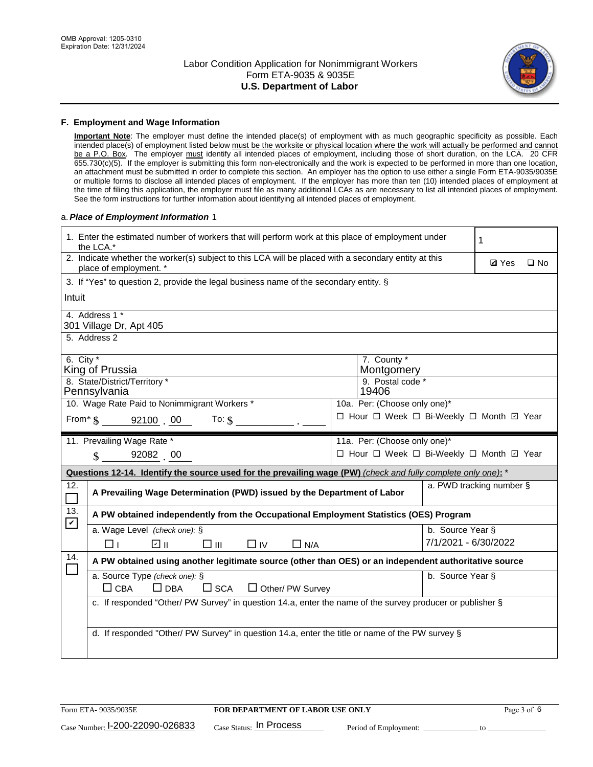

#### **F. Employment and Wage Information**

**Important Note**: The employer must define the intended place(s) of employment with as much geographic specificity as possible. Each intended place(s) of employment listed below must be the worksite or physical location where the work will actually be performed and cannot be a P.O. Box. The employer must identify all intended places of employment, including those of short duration, on the LCA. 20 CFR 655.730(c)(5). If the employer is submitting this form non-electronically and the work is expected to be performed in more than one location, an attachment must be submitted in order to complete this section. An employer has the option to use either a single Form ETA-9035/9035E or multiple forms to disclose all intended places of employment. If the employer has more than ten (10) intended places of employment at the time of filing this application, the employer must file as many additional LCAs as are necessary to list all intended places of employment. See the form instructions for further information about identifying all intended places of employment.

#### a.*Place of Employment Information* 1

|                                                                              | 1. Enter the estimated number of workers that will perform work at this place of employment under<br>1<br>the LCA.*            |  |                                          |                          |  |              |  |  |
|------------------------------------------------------------------------------|--------------------------------------------------------------------------------------------------------------------------------|--|------------------------------------------|--------------------------|--|--------------|--|--|
|                                                                              | 2. Indicate whether the worker(s) subject to this LCA will be placed with a secondary entity at this<br>place of employment. * |  |                                          |                          |  | $\square$ No |  |  |
|                                                                              | 3. If "Yes" to question 2, provide the legal business name of the secondary entity. §                                          |  |                                          |                          |  |              |  |  |
| Intuit                                                                       |                                                                                                                                |  |                                          |                          |  |              |  |  |
|                                                                              | 4. Address 1 *<br>301 Village Dr, Apt 405                                                                                      |  |                                          |                          |  |              |  |  |
|                                                                              | 5. Address 2                                                                                                                   |  |                                          |                          |  |              |  |  |
|                                                                              | 6. City $*$<br>7. County *<br>King of Prussia<br>Montgomery                                                                    |  |                                          |                          |  |              |  |  |
|                                                                              | 8. State/District/Territory *<br>9. Postal code *<br>Pennsylvania<br>19406                                                     |  |                                          |                          |  |              |  |  |
| 10. Wage Rate Paid to Nonimmigrant Workers *<br>10a. Per: (Choose only one)* |                                                                                                                                |  |                                          |                          |  |              |  |  |
|                                                                              | □ Hour □ Week □ Bi-Weekly □ Month □ Year<br>From $\text{\$}$ 92100 00 To: $\text{\$}$                                          |  |                                          |                          |  |              |  |  |
|                                                                              | 11. Prevailing Wage Rate *<br>11a. Per: (Choose only one)*                                                                     |  |                                          |                          |  |              |  |  |
|                                                                              | $\sin 92082$ 00                                                                                                                |  | □ Hour □ Week □ Bi-Weekly □ Month ☑ Year |                          |  |              |  |  |
|                                                                              | Questions 12-14. Identify the source used for the prevailing wage (PW) (check and fully complete only one): *                  |  |                                          |                          |  |              |  |  |
| 12.                                                                          | A Prevailing Wage Determination (PWD) issued by the Department of Labor                                                        |  |                                          | a. PWD tracking number § |  |              |  |  |
| 13.<br>$\blacktriangledown$                                                  | A PW obtained independently from the Occupational Employment Statistics (OES) Program                                          |  |                                          |                          |  |              |  |  |
|                                                                              | a. Wage Level (check one): §                                                                                                   |  |                                          | b. Source Year §         |  |              |  |  |
|                                                                              | ⊽ ∥<br>$\square$ $\square$<br>$\Box$ IV<br>$\Box$ N/A<br>l II.                                                                 |  |                                          | 7/1/2021 - 6/30/2022     |  |              |  |  |
| 14.                                                                          | A PW obtained using another legitimate source (other than OES) or an independent authoritative source                          |  |                                          |                          |  |              |  |  |
|                                                                              | a. Source Type (check one): §<br>$\Box$ CBA<br>$\Box$ DBA<br>$\square$ SCA<br>$\Box$ Other/ PW Survey                          |  |                                          | b. Source Year §         |  |              |  |  |
|                                                                              | c. If responded "Other/ PW Survey" in question 14.a, enter the name of the survey producer or publisher §                      |  |                                          |                          |  |              |  |  |
|                                                                              | d. If responded "Other/ PW Survey" in question 14.a, enter the title or name of the PW survey §                                |  |                                          |                          |  |              |  |  |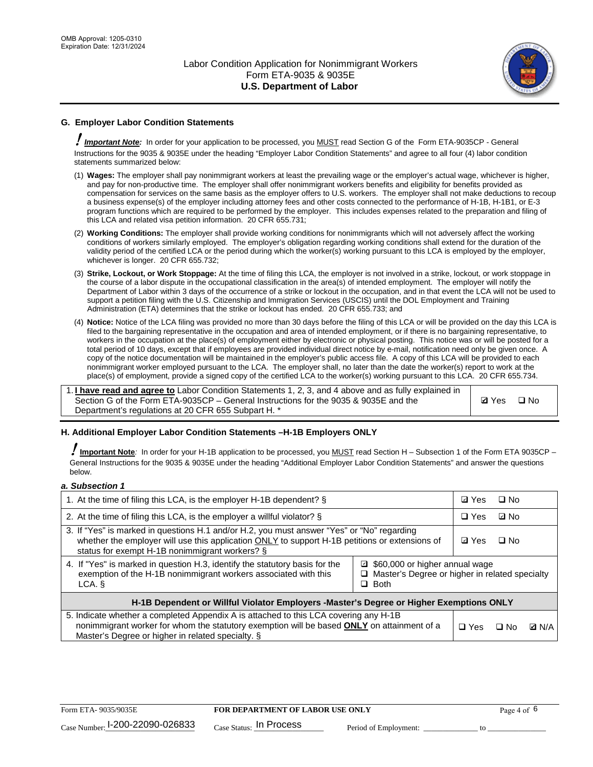

# **G. Employer Labor Condition Statements**

! *Important Note:* In order for your application to be processed, you MUST read Section G of the Form ETA-9035CP - General Instructions for the 9035 & 9035E under the heading "Employer Labor Condition Statements" and agree to all four (4) labor condition statements summarized below:

- (1) **Wages:** The employer shall pay nonimmigrant workers at least the prevailing wage or the employer's actual wage, whichever is higher, and pay for non-productive time. The employer shall offer nonimmigrant workers benefits and eligibility for benefits provided as compensation for services on the same basis as the employer offers to U.S. workers. The employer shall not make deductions to recoup a business expense(s) of the employer including attorney fees and other costs connected to the performance of H-1B, H-1B1, or E-3 program functions which are required to be performed by the employer. This includes expenses related to the preparation and filing of this LCA and related visa petition information. 20 CFR 655.731;
- (2) **Working Conditions:** The employer shall provide working conditions for nonimmigrants which will not adversely affect the working conditions of workers similarly employed. The employer's obligation regarding working conditions shall extend for the duration of the validity period of the certified LCA or the period during which the worker(s) working pursuant to this LCA is employed by the employer, whichever is longer. 20 CFR 655.732;
- (3) **Strike, Lockout, or Work Stoppage:** At the time of filing this LCA, the employer is not involved in a strike, lockout, or work stoppage in the course of a labor dispute in the occupational classification in the area(s) of intended employment. The employer will notify the Department of Labor within 3 days of the occurrence of a strike or lockout in the occupation, and in that event the LCA will not be used to support a petition filing with the U.S. Citizenship and Immigration Services (USCIS) until the DOL Employment and Training Administration (ETA) determines that the strike or lockout has ended. 20 CFR 655.733; and
- (4) **Notice:** Notice of the LCA filing was provided no more than 30 days before the filing of this LCA or will be provided on the day this LCA is filed to the bargaining representative in the occupation and area of intended employment, or if there is no bargaining representative, to workers in the occupation at the place(s) of employment either by electronic or physical posting. This notice was or will be posted for a total period of 10 days, except that if employees are provided individual direct notice by e-mail, notification need only be given once. A copy of the notice documentation will be maintained in the employer's public access file. A copy of this LCA will be provided to each nonimmigrant worker employed pursuant to the LCA. The employer shall, no later than the date the worker(s) report to work at the place(s) of employment, provide a signed copy of the certified LCA to the worker(s) working pursuant to this LCA. 20 CFR 655.734.

1. **I have read and agree to** Labor Condition Statements 1, 2, 3, and 4 above and as fully explained in Section G of the Form ETA-9035CP – General Instructions for the 9035 & 9035E and the Department's regulations at 20 CFR 655 Subpart H. \*

**Ø**Yes ロNo

#### **H. Additional Employer Labor Condition Statements –H-1B Employers ONLY**

!**Important Note***:* In order for your H-1B application to be processed, you MUST read Section H – Subsection 1 of the Form ETA 9035CP – General Instructions for the 9035 & 9035E under the heading "Additional Employer Labor Condition Statements" and answer the questions below.

#### *a. Subsection 1*

| 1. At the time of filing this LCA, is the employer H-1B dependent? §                                                                                                                                                                                            | ⊡ Yes      | $\square$ No |              |  |  |
|-----------------------------------------------------------------------------------------------------------------------------------------------------------------------------------------------------------------------------------------------------------------|------------|--------------|--------------|--|--|
| 2. At the time of filing this LCA, is the employer a willful violator? $\S$                                                                                                                                                                                     | $\Box$ Yes | ⊡ No         |              |  |  |
| 3. If "Yes" is marked in questions H.1 and/or H.2, you must answer "Yes" or "No" regarding<br>whether the employer will use this application ONLY to support H-1B petitions or extensions of<br>status for exempt H-1B nonimmigrant workers? §                  |            |              | $\Box$ No    |  |  |
| 4. If "Yes" is marked in question H.3, identify the statutory basis for the<br>■ \$60,000 or higher annual wage<br>exemption of the H-1B nonimmigrant workers associated with this<br>□ Master's Degree or higher in related specialty<br>$\Box$ Both<br>LCA. § |            |              |              |  |  |
| H-1B Dependent or Willful Violator Employers -Master's Degree or Higher Exemptions ONLY                                                                                                                                                                         |            |              |              |  |  |
| 5. Indicate whether a completed Appendix A is attached to this LCA covering any H-1B<br>nonimmigrant worker for whom the statutory exemption will be based <b>ONLY</b> on attainment of a<br>Master's Degree or higher in related specialty. §                  | $\Box$ Yes | ⊡ No         | <b>Q</b> N/A |  |  |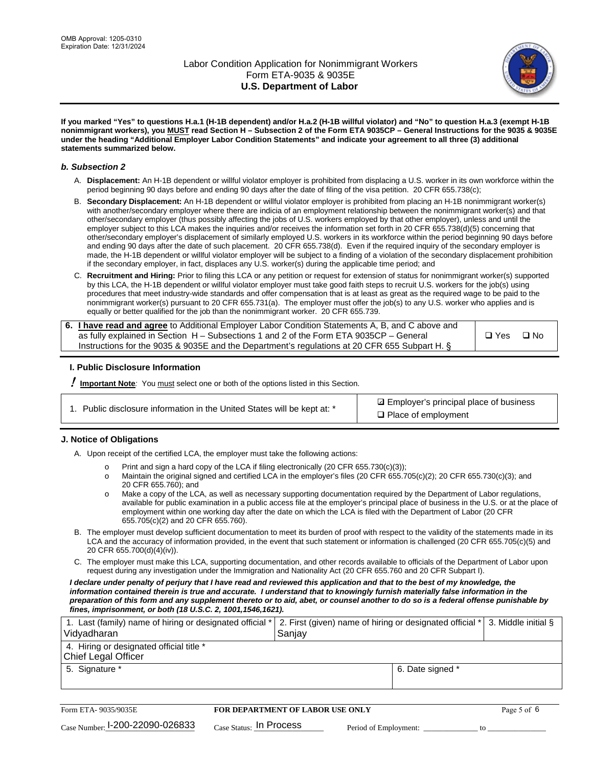

**If you marked "Yes" to questions H.a.1 (H-1B dependent) and/or H.a.2 (H-1B willful violator) and "No" to question H.a.3 (exempt H-1B nonimmigrant workers), you MUST read Section H – Subsection 2 of the Form ETA 9035CP – General Instructions for the 9035 & 9035E under the heading "Additional Employer Labor Condition Statements" and indicate your agreement to all three (3) additional statements summarized below.**

#### *b. Subsection 2*

- A. **Displacement:** An H-1B dependent or willful violator employer is prohibited from displacing a U.S. worker in its own workforce within the period beginning 90 days before and ending 90 days after the date of filing of the visa petition. 20 CFR 655.738(c);
- B. **Secondary Displacement:** An H-1B dependent or willful violator employer is prohibited from placing an H-1B nonimmigrant worker(s) with another/secondary employer where there are indicia of an employment relationship between the nonimmigrant worker(s) and that other/secondary employer (thus possibly affecting the jobs of U.S. workers employed by that other employer), unless and until the employer subject to this LCA makes the inquiries and/or receives the information set forth in 20 CFR 655.738(d)(5) concerning that other/secondary employer's displacement of similarly employed U.S. workers in its workforce within the period beginning 90 days before and ending 90 days after the date of such placement. 20 CFR 655.738(d). Even if the required inquiry of the secondary employer is made, the H-1B dependent or willful violator employer will be subject to a finding of a violation of the secondary displacement prohibition if the secondary employer, in fact, displaces any U.S. worker(s) during the applicable time period; and
- C. **Recruitment and Hiring:** Prior to filing this LCA or any petition or request for extension of status for nonimmigrant worker(s) supported by this LCA, the H-1B dependent or willful violator employer must take good faith steps to recruit U.S. workers for the job(s) using procedures that meet industry-wide standards and offer compensation that is at least as great as the required wage to be paid to the nonimmigrant worker(s) pursuant to 20 CFR 655.731(a). The employer must offer the job(s) to any U.S. worker who applies and is equally or better qualified for the job than the nonimmigrant worker. 20 CFR 655.739.

| 6. I have read and agree to Additional Employer Labor Condition Statements A, B, and C above and |       |           |
|--------------------------------------------------------------------------------------------------|-------|-----------|
| as fully explained in Section H – Subsections 1 and 2 of the Form ETA 9035CP – General           | □ Yes | $\Box$ No |
| Instructions for the 9035 & 9035E and the Department's regulations at 20 CFR 655 Subpart H. §    |       |           |

#### **I. Public Disclosure Information**

! **Important Note***:* You must select one or both of the options listed in this Section.

| 1. Public disclosure information in the United States will be kept at: * |  |  |  |  |  |  |  |  |  |
|--------------------------------------------------------------------------|--|--|--|--|--|--|--|--|--|
|--------------------------------------------------------------------------|--|--|--|--|--|--|--|--|--|

**sqrt** Employer's principal place of business □ Place of employment

#### **J. Notice of Obligations**

A. Upon receipt of the certified LCA, the employer must take the following actions:

- o Print and sign a hard copy of the LCA if filing electronically (20 CFR 655.730(c)(3));<br>
Maintain the original signed and certified LCA in the employer's files (20 CFR 655.7
- Maintain the original signed and certified LCA in the employer's files (20 CFR 655.705(c)(2); 20 CFR 655.730(c)(3); and 20 CFR 655.760); and
- o Make a copy of the LCA, as well as necessary supporting documentation required by the Department of Labor regulations, available for public examination in a public access file at the employer's principal place of business in the U.S. or at the place of employment within one working day after the date on which the LCA is filed with the Department of Labor (20 CFR 655.705(c)(2) and 20 CFR 655.760).
- B. The employer must develop sufficient documentation to meet its burden of proof with respect to the validity of the statements made in its LCA and the accuracy of information provided, in the event that such statement or information is challenged (20 CFR 655.705(c)(5) and 20 CFR 655.700(d)(4)(iv)).
- C. The employer must make this LCA, supporting documentation, and other records available to officials of the Department of Labor upon request during any investigation under the Immigration and Nationality Act (20 CFR 655.760 and 20 CFR Subpart I).

*I declare under penalty of perjury that I have read and reviewed this application and that to the best of my knowledge, the*  information contained therein is true and accurate. I understand that to knowingly furnish materially false information in the *preparation of this form and any supplement thereto or to aid, abet, or counsel another to do so is a federal offense punishable by fines, imprisonment, or both (18 U.S.C. 2, 1001,1546,1621).*

| 1. Last (family) name of hiring or designated official *<br>Vidyadharan | 2. First (given) name of hiring or designated official *<br>Sanjay | 3. Middle initial § |
|-------------------------------------------------------------------------|--------------------------------------------------------------------|---------------------|
| 4. Hiring or designated official title *<br><b>Chief Legal Officer</b>  |                                                                    |                     |
| 5. Signature *                                                          | 6. Date signed *                                                   |                     |